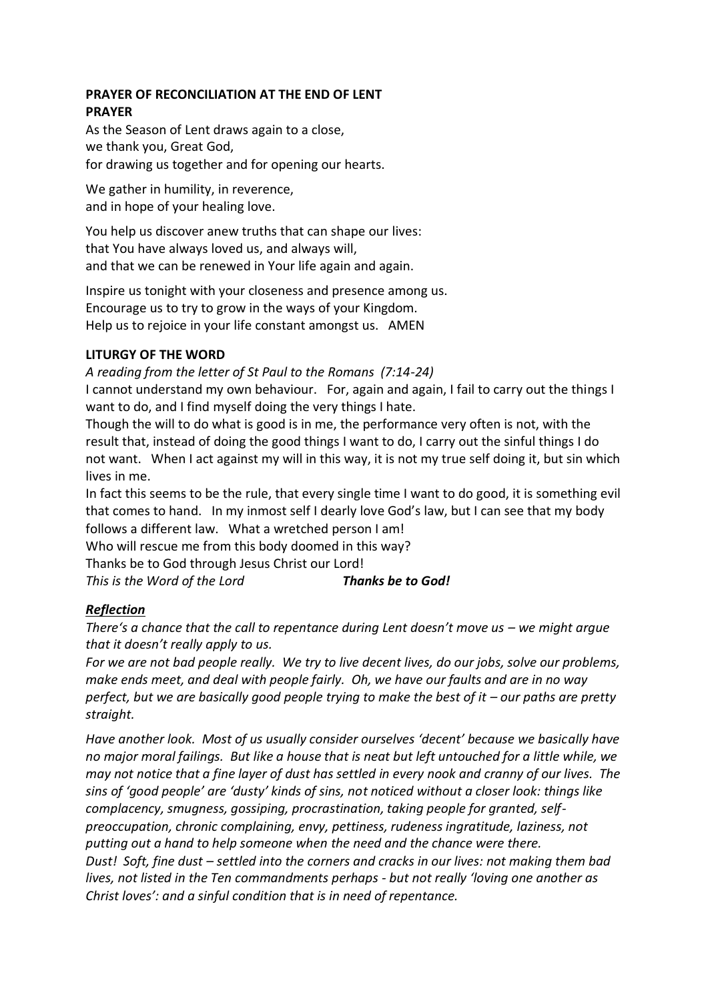## **PRAYER OF RECONCILIATION AT THE END OF LENT PRAYER**

As the Season of Lent draws again to a close, we thank you, Great God, for drawing us together and for opening our hearts.

We gather in humility, in reverence, and in hope of your healing love.

You help us discover anew truths that can shape our lives: that You have always loved us, and always will, and that we can be renewed in Your life again and again.

Inspire us tonight with your closeness and presence among us. Encourage us to try to grow in the ways of your Kingdom. Help us to rejoice in your life constant amongst us. AMEN

# **LITURGY OF THE WORD**

*A reading from the letter of St Paul to the Romans (7:14-24)*

I cannot understand my own behaviour. For, again and again, I fail to carry out the things I want to do, and I find myself doing the very things I hate.

Though the will to do what is good is in me, the performance very often is not, with the result that, instead of doing the good things I want to do, I carry out the sinful things I do not want. When I act against my will in this way, it is not my true self doing it, but sin which lives in me.

In fact this seems to be the rule, that every single time I want to do good, it is something evil that comes to hand. In my inmost self I dearly love God's law, but I can see that my body follows a different law. What a wretched person I am!

Who will rescue me from this body doomed in this way?

Thanks be to God through Jesus Christ our Lord!

*This is the Word of the Lord Thanks be to God!*

# *Reflection*

*There's a chance that the call to repentance during Lent doesn't move us – we might argue that it doesn't really apply to us.*

*For we are not bad people really. We try to live decent lives, do our jobs, solve our problems, make ends meet, and deal with people fairly. Oh, we have our faults and are in no way perfect, but we are basically good people trying to make the best of it – our paths are pretty straight.*

*Have another look. Most of us usually consider ourselves 'decent' because we basically have no major moral failings. But like a house that is neat but left untouched for a little while, we may not notice that a fine layer of dust has settled in every nook and cranny of our lives. The sins of 'good people' are 'dusty' kinds of sins, not noticed without a closer look: things like complacency, smugness, gossiping, procrastination, taking people for granted, selfpreoccupation, chronic complaining, envy, pettiness, rudeness ingratitude, laziness, not putting out a hand to help someone when the need and the chance were there. Dust! Soft, fine dust – settled into the corners and cracks in our lives: not making them bad lives, not listed in the Ten commandments perhaps - but not really 'loving one another as Christ loves': and a sinful condition that is in need of repentance.*